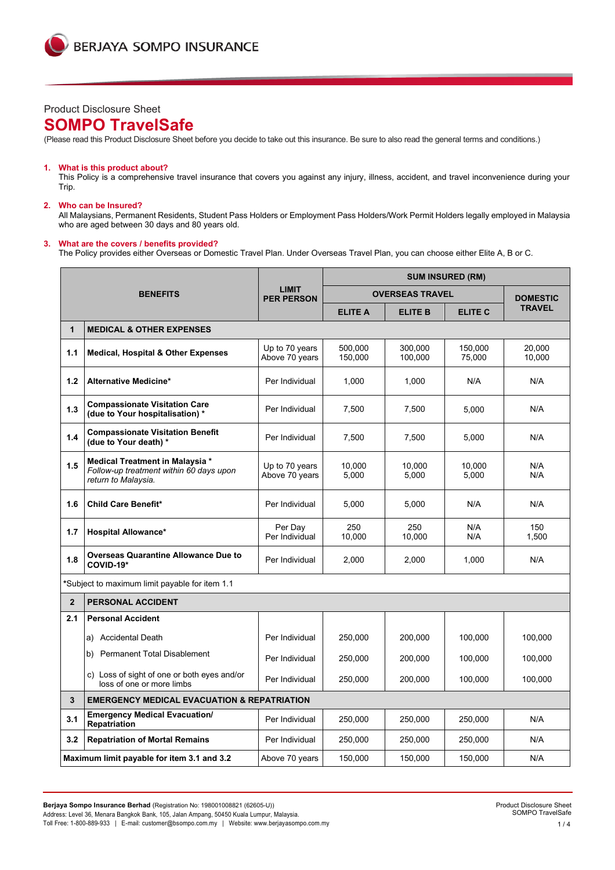# Product Disclosure Sheet

# **SOMPO TravelSafe**

(Please read this Product Disclosure Sheet before you decide to take out this insurance. Be sure to also read the general terms and conditions.)

### **1. What is this product about?**

This Policy is a comprehensive travel insurance that covers you against any injury, illness, accident, and travel inconvenience during your Trip.

### **2. Who can be Insured?**

All Malaysians, Permanent Residents, Student Pass Holders or Employment Pass Holders/Work Permit Holders legally employed in Malaysia who are aged between 30 days and 80 years old.

## **3. What are the covers / benefits provided?**

The Policy provides either Overseas or Domestic Travel Plan. Under Overseas Travel Plan, you can choose either Elite A, B or C.

|                |                                                                                                   |                                   | <b>SUM INSURED (RM)</b> |                        |                   |                  |  |  |
|----------------|---------------------------------------------------------------------------------------------------|-----------------------------------|-------------------------|------------------------|-------------------|------------------|--|--|
|                | <b>BENEFITS</b>                                                                                   | <b>LIMIT</b><br><b>PER PERSON</b> |                         | <b>OVERSEAS TRAVEL</b> |                   | <b>DOMESTIC</b>  |  |  |
|                |                                                                                                   |                                   | <b>ELITE A</b>          | <b>ELITE B</b>         | <b>ELITE C</b>    | <b>TRAVEL</b>    |  |  |
| $\mathbf{1}$   | <b>MEDICAL &amp; OTHER EXPENSES</b>                                                               |                                   |                         |                        |                   |                  |  |  |
| 1.1            | <b>Medical, Hospital &amp; Other Expenses</b>                                                     | Up to 70 years<br>Above 70 years  | 500.000<br>150,000      | 300.000<br>100,000     | 150,000<br>75,000 | 20.000<br>10,000 |  |  |
| 1.2            | Alternative Medicine*                                                                             | Per Individual                    | 1,000                   | 1,000                  | N/A               | N/A              |  |  |
| 1.3            | <b>Compassionate Visitation Care</b><br>(due to Your hospitalisation) *                           | Per Individual                    | 7,500                   | 7,500                  | 5.000             | N/A              |  |  |
| 1.4            | <b>Compassionate Visitation Benefit</b><br>(due to Your death) *                                  | Per Individual                    | 7,500                   | 7,500                  | 5,000             | N/A              |  |  |
| 1.5            | Medical Treatment in Malaysia *<br>Follow-up treatment within 60 days upon<br>return to Malaysia. | Up to 70 years<br>Above 70 years  | 10,000<br>5,000         | 10.000<br>5,000        | 10.000<br>5,000   | N/A<br>N/A       |  |  |
| 1.6            | <b>Child Care Benefit*</b>                                                                        | Per Individual                    | 5,000                   | 5,000                  | N/A               | N/A              |  |  |
| 1.7            | <b>Hospital Allowance*</b>                                                                        | Per Day<br>Per Individual         | 250<br>10.000           | 250<br>10,000          | N/A<br>N/A        | 150<br>1,500     |  |  |
| 1.8            | <b>Overseas Quarantine Allowance Due to</b><br>COVID-19*                                          | Per Individual                    | 2,000                   | 2,000                  | 1,000             | N/A              |  |  |
|                | *Subject to maximum limit payable for item 1.1                                                    |                                   |                         |                        |                   |                  |  |  |
| $\overline{2}$ | <b>PERSONAL ACCIDENT</b>                                                                          |                                   |                         |                        |                   |                  |  |  |
| 2.1            | <b>Personal Accident</b>                                                                          |                                   |                         |                        |                   |                  |  |  |
|                | a) Accidental Death                                                                               | Per Individual                    | 250,000                 | 200,000                | 100,000           | 100,000          |  |  |
|                | b) Permanent Total Disablement                                                                    | Per Individual                    | 250,000                 | 200,000                | 100,000           | 100,000          |  |  |
|                | c) Loss of sight of one or both eyes and/or<br>loss of one or more limbs                          | Per Individual                    | 250,000                 | 200,000                | 100,000           | 100,000          |  |  |
| 3              | <b>EMERGENCY MEDICAL EVACUATION &amp; REPATRIATION</b>                                            |                                   |                         |                        |                   |                  |  |  |
| 3.1            | <b>Emergency Medical Evacuation/</b><br>Repatriation                                              | Per Individual                    | 250,000                 | 250,000                | 250,000           | N/A              |  |  |
| 3.2            | <b>Repatriation of Mortal Remains</b>                                                             | Per Individual                    | 250,000                 | 250,000                | 250,000           | N/A              |  |  |
|                | Maximum limit payable for item 3.1 and 3.2                                                        | Above 70 years                    | 150,000                 | 150,000                | 150,000           | N/A              |  |  |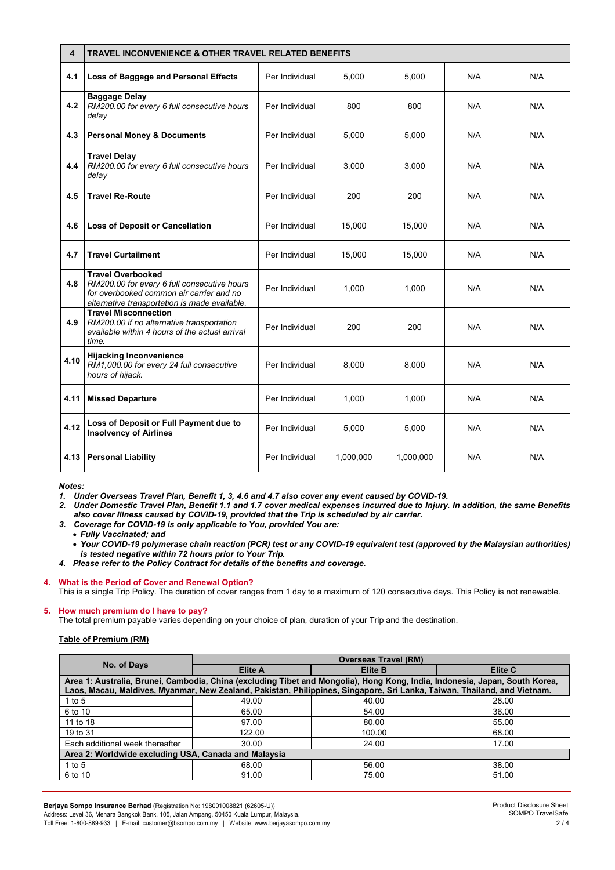| 4    | <b>TRAVEL INCONVENIENCE &amp; OTHER TRAVEL RELATED BENEFITS</b>                                                                                                      |                |           |           |     |     |  |
|------|----------------------------------------------------------------------------------------------------------------------------------------------------------------------|----------------|-----------|-----------|-----|-----|--|
| 4.1  | Loss of Baggage and Personal Effects                                                                                                                                 | Per Individual | 5,000     | 5,000     | N/A | N/A |  |
| 4.2  | <b>Baggage Delay</b><br>RM200.00 for every 6 full consecutive hours<br>delay                                                                                         | Per Individual | 800       | 800       | N/A | N/A |  |
| 4.3  | <b>Personal Money &amp; Documents</b>                                                                                                                                | Per Individual | 5,000     | 5,000     | N/A | N/A |  |
| 4.4  | <b>Travel Delay</b><br>RM200.00 for every 6 full consecutive hours<br>delay                                                                                          | Per Individual | 3,000     | 3,000     | N/A | N/A |  |
| 4.5  | <b>Travel Re-Route</b>                                                                                                                                               | Per Individual | 200       | 200       | N/A | N/A |  |
| 4.6  | <b>Loss of Deposit or Cancellation</b>                                                                                                                               | Per Individual | 15,000    | 15,000    | N/A | N/A |  |
| 4.7  | <b>Travel Curtailment</b>                                                                                                                                            | Per Individual | 15,000    | 15,000    | N/A | N/A |  |
| 4.8  | <b>Travel Overbooked</b><br>RM200.00 for every 6 full consecutive hours<br>for overbooked common air carrier and no<br>alternative transportation is made available. | Per Individual | 1.000     | 1.000     | N/A | N/A |  |
| 4.9  | <b>Travel Misconnection</b><br>RM200.00 if no alternative transportation<br>available within 4 hours of the actual arrival<br>time.                                  | Per Individual | 200       | 200       | N/A | N/A |  |
| 4.10 | <b>Hijacking Inconvenience</b><br>RM1,000.00 for every 24 full consecutive<br>hours of hijack.                                                                       | Per Individual | 8,000     | 8,000     | N/A | N/A |  |
| 4.11 | <b>Missed Departure</b>                                                                                                                                              | Per Individual | 1,000     | 1,000     | N/A | N/A |  |
| 4.12 | Loss of Deposit or Full Payment due to<br><b>Insolvency of Airlines</b>                                                                                              | Per Individual | 5,000     | 5,000     | N/A | N/A |  |
| 4.13 | <b>Personal Liability</b>                                                                                                                                            | Per Individual | 1,000,000 | 1,000,000 | N/A | N/A |  |

*Notes:* 

*1. Under Overseas Travel Plan, Benefit 1, 3, 4.6 and 4.7 also cover any event caused by COVID-19.*

*2. Under Domestic Travel Plan, Benefit 1.1 and 1.7 cover medical expenses incurred due to Injury. In addition, the same Benefits also cover Illness caused by COVID-19, provided that the Trip is scheduled by air carrier.* 

*3. Coverage for COVID-19 is only applicable to You, provided You are:*

• *Fully Vaccinated; and*

• *Your COVID-19 polymerase chain reaction (PCR) test or any COVID-19 equivalent test (approved by the Malaysian authorities) is tested negative within 72 hours prior to Your Trip.*

*4. Please refer to the Policy Contract for details of the benefits and coverage.*

### **4. What is the Period of Cover and Renewal Option?** This is a single Trip Policy. The duration of cover ranges from 1 day to a maximum of 120 consecutive days. This Policy is not renewable.

# **5. How much premium do I have to pay?**

The total premium payable varies depending on your choice of plan, duration of your Trip and the destination.

# **Table of Premium (RM)**

| No. of Days                                                                                                                                                                                                                                             | <b>Overseas Travel (RM)</b> |         |         |  |  |  |
|---------------------------------------------------------------------------------------------------------------------------------------------------------------------------------------------------------------------------------------------------------|-----------------------------|---------|---------|--|--|--|
|                                                                                                                                                                                                                                                         | <b>Elite A</b>              | Elite B | Elite C |  |  |  |
| Area 1: Australia, Brunei, Cambodia, China (excluding Tibet and Mongolia), Hong Kong, India, Indonesia, Japan, South Korea,<br>Laos, Macau, Maldives, Myanmar, New Zealand, Pakistan, Philippines, Singapore, Sri Lanka, Taiwan, Thailand, and Vietnam. |                             |         |         |  |  |  |
| 1 to $5$                                                                                                                                                                                                                                                | 49.00                       | 40.00   | 28.00   |  |  |  |
| 6 to 10                                                                                                                                                                                                                                                 | 65.00                       | 54.00   | 36.00   |  |  |  |
| 11 to 18                                                                                                                                                                                                                                                | 97.00                       | 80.00   | 55.00   |  |  |  |
| 19 to 31                                                                                                                                                                                                                                                | 122.00                      | 100.00  | 68.00   |  |  |  |
| Each additional week thereafter                                                                                                                                                                                                                         | 30.00                       | 24.00   | 17.00   |  |  |  |
| Area 2: Worldwide excluding USA, Canada and Malaysia                                                                                                                                                                                                    |                             |         |         |  |  |  |
| 1 to 5                                                                                                                                                                                                                                                  | 68.00                       | 56.00   | 38.00   |  |  |  |
| 6 to 10                                                                                                                                                                                                                                                 | 91.00                       | 75.00   | 51.00   |  |  |  |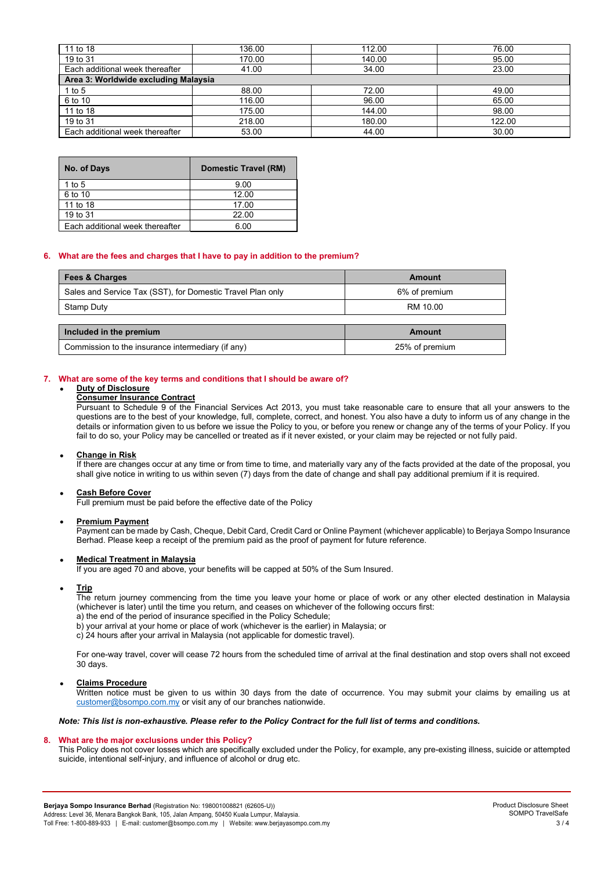| 11 to 18                             | 136.00 | 112.00 | 76.00  |  |  |  |
|--------------------------------------|--------|--------|--------|--|--|--|
| 19 to 31                             | 170.00 | 140.00 | 95.00  |  |  |  |
| Each additional week thereafter      | 41.00  | 34.00  | 23.00  |  |  |  |
| Area 3: Worldwide excluding Malaysia |        |        |        |  |  |  |
| 1 to 5                               | 88.00  | 72.00  | 49.00  |  |  |  |
| 6 to 10                              | 116.00 | 96.00  | 65.00  |  |  |  |
| 11 to 18                             | 175.00 | 144.00 | 98.00  |  |  |  |
| 19 to 31                             | 218.00 | 180.00 | 122.00 |  |  |  |
| Each additional week thereafter      | 53.00  | 44.00  | 30.00  |  |  |  |

| No. of Days                     | Domestic Travel (RM) |
|---------------------------------|----------------------|
| 1 to $5$                        | 9.00                 |
| 6 to 10                         | 12.00                |
| 11 to 18                        | 17.00                |
| 19 to 31                        | 22.00                |
| Each additional week thereafter | 6.00                 |

## **6. What are the fees and charges that I have to pay in addition to the premium?**

| <b>Fees &amp; Charges</b>                                  | Amount         |  |
|------------------------------------------------------------|----------------|--|
| Sales and Service Tax (SST), for Domestic Travel Plan only | 6% of premium  |  |
| Stamp Duty                                                 | RM 10.00       |  |
|                                                            |                |  |
| Included in the premium                                    | Amount         |  |
| Commission to the insurance intermediary (if any)          | 25% of premium |  |

### **7. What are some of the key terms and conditions that I should be aware of?**

# • **Duty of Disclosure**

### **Consumer Insurance Contract**

Pursuant to Schedule 9 of the Financial Services Act 2013, you must take reasonable care to ensure that all your answers to the questions are to the best of your knowledge, full, complete, correct, and honest. You also have a duty to inform us of any change in the details or information given to us before we issue the Policy to you, or before you renew or change any of the terms of your Policy. If you fail to do so, your Policy may be cancelled or treated as if it never existed, or your claim may be rejected or not fully paid.

### • **Change in Risk**

If there are changes occur at any time or from time to time, and materially vary any of the facts provided at the date of the proposal, you shall give notice in writing to us within seven (7) days from the date of change and shall pay additional premium if it is required.

### • **Cash Before Cover**

Full premium must be paid before the effective date of the Policy

### • **Premium Payment**

Payment can be made by Cash, Cheque, Debit Card, Credit Card or Online Payment (whichever applicable) to Berjaya Sompo Insurance Berhad. Please keep a receipt of the premium paid as the proof of payment for future reference.

# • **Medical Treatment in Malaysia**

If you are aged 70 and above, your benefits will be capped at 50% of the Sum Insured.

### • **Trip**

The return journey commencing from the time you leave your home or place of work or any other elected destination in Malaysia (whichever is later) until the time you return, and ceases on whichever of the following occurs first:

a) the end of the period of insurance specified in the Policy Schedule;

b) your arrival at your home or place of work (whichever is the earlier) in Malaysia; or

c) 24 hours after your arrival in Malaysia (not applicable for domestic travel).

For one-way travel, cover will cease 72 hours from the scheduled time of arrival at the final destination and stop overs shall not exceed 30 days.

### • **Claims Procedure**

Written notice must be given to us within 30 days from the date of occurrence. You may submit your claims by emailing us at [customer@bsompo.com.my](mailto:customer@bsompo.com.my) or visit any of our branches nationwide.

### *Note: This list is non-exhaustive. Please refer to the Policy Contract for the full list of terms and conditions.*

### **8. What are the major exclusions under this Policy?**

This Policy does not cover losses which are specifically excluded under the Policy, for example, any pre-existing illness, suicide or attempted suicide, intentional self-injury, and influence of alcohol or drug etc.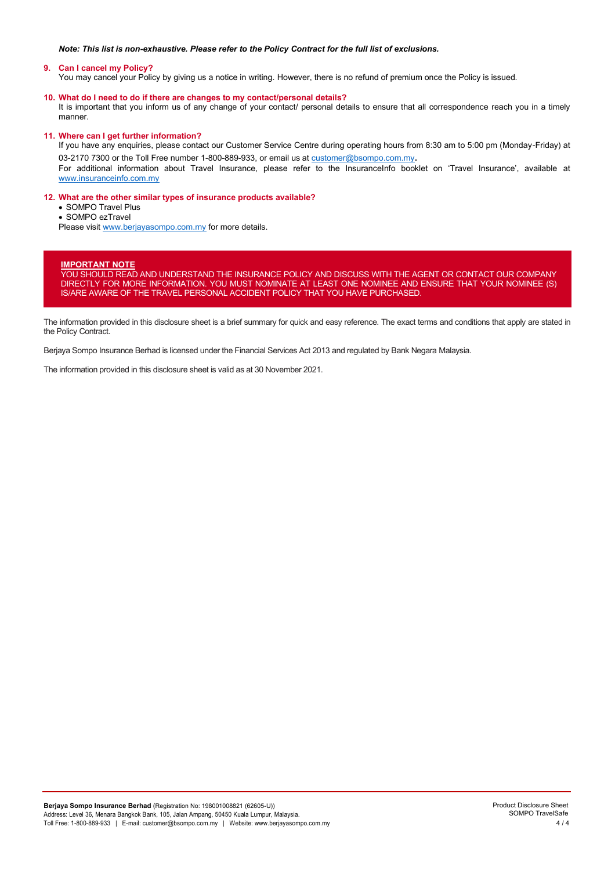## *Note: This list is non-exhaustive. Please refer to the Policy Contract for the full list of exclusions.*

## **9. Can I cancel my Policy?**

You may cancel your Policy by giving us a notice in writing. However, there is no refund of premium once the Policy is issued.

## **10. What do I need to do if there are changes to my contact/personal details?**

It is important that you inform us of any change of your contact/ personal details to ensure that all correspondence reach you in a timely manner.

## **11. Where can I get further information?**

If you have any enquiries, please contact our Customer Service Centre during operating hours from 8:30 am to 5:00 pm (Monday-Friday) at 03-2170 7300 or the Toll Free number 1-800-889-933, or email us a[t customer@bsompo.com.my](mailto:customer@bsompo.com.my).

For additional information about Travel Insurance, please refer to the InsuranceInfo booklet on 'Travel Insurance', available at [www.insuranceinfo.com.my](http://www.insuranceinfo.com.my/)

# **12. What are the other similar types of insurance products available?**

• SOMPO Travel Plus

• SOMPO ezTravel

Please visi[t www.berjayasompo.com.my](http://www.berjayasompo.com.my/) for more details.

# **IMPORTANT NOTE**

YOU SHOULD READ AND UNDERSTAND THE INSURANCE POLICY AND DISCUSS WITH THE AGENT OR CONTACT OUR COMPANY DIRECTLY FOR MORE INFORMATION. YOU MUST NOMINATE AT LEAST ONE NOMINEE AND ENSURE THAT YOUR NOMINEE (S) IS/ARE AWARE OF THE TRAVEL PERSONAL ACCIDENT POLICY THAT YOU HAVE PURCHASED.

The information provided in this disclosure sheet is a brief summary for quick and easy reference. The exact terms and conditions that apply are stated in the Policy Contract.

Berjaya Sompo Insurance Berhad is licensed under the Financial Services Act 2013 and regulated by Bank Negara Malaysia.

The information provided in this disclosure sheet is valid as at 30 November 2021.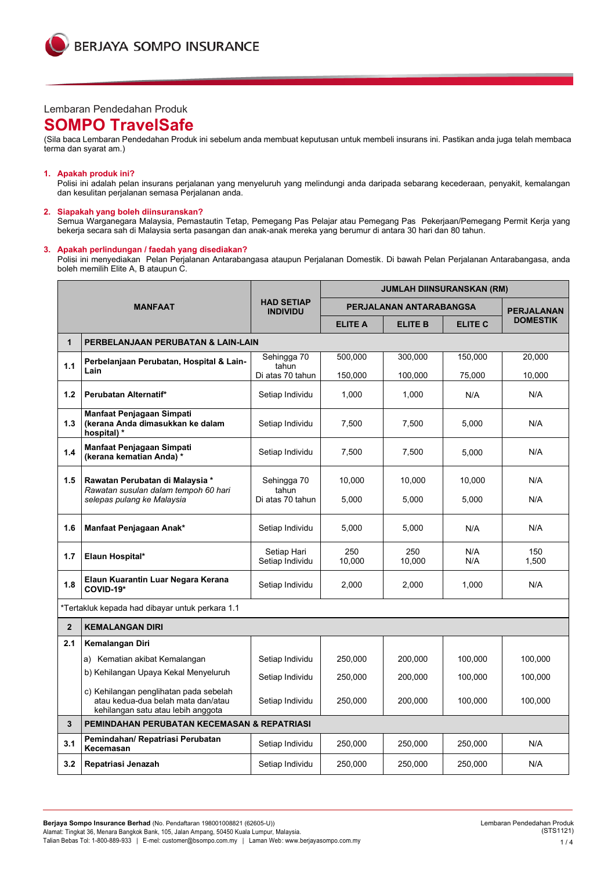

# Lembaran Pendedahan Produk

# **SOMPO TravelSafe**

(Sila baca Lembaran Pendedahan Produk ini sebelum anda membuat keputusan untuk membeli insurans ini. Pastikan anda juga telah membaca terma dan syarat am.)

### **1. Apakah produk ini?**

Polisi ini adalah pelan insurans perjalanan yang menyeluruh yang melindungi anda daripada sebarang kecederaan, penyakit, kemalangan dan kesulitan perjalanan semasa Perjalanan anda.

# **2. Siapakah yang boleh diinsuranskan?**

Semua Warganegara Malaysia, Pemastautin Tetap, Pemegang Pas Pelajar atau Pemegang Pas Pekerjaan/Pemegang Permit Kerja yang bekerja secara sah di Malaysia serta pasangan dan anak-anak mereka yang berumur di antara 30 hari dan 80 tahun.

## **3. Apakah perlindungan / faedah yang disediakan?**

Polisi ini menyediakan Pelan Perjalanan Antarabangasa ataupun Perjalanan Domestik. Di bawah Pelan Perjalanan Antarabangasa, anda boleh memilih Elite A, B ataupun C.

|                |                                                                                                                    |                                      | <b>JUMLAH DIINSURANSKAN (RM)</b> |                         |                |                   |  |  |
|----------------|--------------------------------------------------------------------------------------------------------------------|--------------------------------------|----------------------------------|-------------------------|----------------|-------------------|--|--|
|                | <b>MANFAAT</b>                                                                                                     | <b>HAD SETIAP</b><br><b>INDIVIDU</b> |                                  | PERJALANAN ANTARABANGSA |                | <b>PERJALANAN</b> |  |  |
|                |                                                                                                                    |                                      | <b>ELITE A</b>                   | <b>ELITE B</b>          | <b>ELITE C</b> | <b>DOMESTIK</b>   |  |  |
| $\mathbf{1}$   | PERBELANJAAN PERUBATAN & LAIN-LAIN                                                                                 |                                      |                                  |                         |                |                   |  |  |
| 1.1            | Perbelanjaan Perubatan, Hospital & Lain-<br>Lain                                                                   | Sehingga 70<br>tahun                 | 500.000                          | 300.000                 | 150.000        | 20.000            |  |  |
|                |                                                                                                                    | Di atas 70 tahun                     | 150.000                          | 100.000                 | 75,000         | 10.000            |  |  |
| 1.2            | Perubatan Alternatif*                                                                                              | Setiap Individu                      | 1,000                            | 1,000                   | N/A            | N/A               |  |  |
| 1.3            | Manfaat Penjagaan Simpati<br>(kerana Anda dimasukkan ke dalam<br>hospital) *                                       | Setiap Individu                      | 7.500                            | 7.500                   | 5.000          | N/A               |  |  |
| 1.4            | Manfaat Penjagaan Simpati<br>(kerana kematian Anda)*                                                               | Setiap Individu                      | 7,500                            | 7,500                   | 5,000          | N/A               |  |  |
| 1.5            | Rawatan Perubatan di Malaysia *<br>Rawatan susulan dalam tempoh 60 hari                                            | Sehingga 70<br>tahun                 | 10,000                           | 10,000                  | 10,000         | N/A               |  |  |
|                | selepas pulang ke Malaysia                                                                                         | Di atas 70 tahun                     | 5,000                            | 5,000                   | 5,000          | N/A               |  |  |
| 1.6            | Manfaat Penjagaan Anak*                                                                                            | Setiap Individu                      | 5,000                            | 5,000                   | N/A            | N/A               |  |  |
| 1.7            | Elaun Hospital*                                                                                                    | Setiap Hari<br>Setiap Individu       | 250<br>10.000                    | 250<br>10.000           | N/A<br>N/A     | 150<br>1,500      |  |  |
| 1.8            | Elaun Kuarantin Luar Negara Kerana<br>COVID-19*                                                                    | Setiap Individu                      | 2,000                            | 2,000                   | 1,000          | N/A               |  |  |
|                | *Tertakluk kepada had dibayar untuk perkara 1.1                                                                    |                                      |                                  |                         |                |                   |  |  |
| $\overline{2}$ | <b>KEMALANGAN DIRI</b>                                                                                             |                                      |                                  |                         |                |                   |  |  |
| 2.1            | Kemalangan Diri                                                                                                    |                                      |                                  |                         |                |                   |  |  |
|                | a) Kematian akibat Kemalangan                                                                                      | Setiap Individu                      | 250,000                          | 200,000                 | 100,000        | 100,000           |  |  |
|                | b) Kehilangan Upaya Kekal Menyeluruh                                                                               | Setiap Individu                      | 250,000                          | 200,000                 | 100,000        | 100,000           |  |  |
|                | c) Kehilangan penglihatan pada sebelah<br>atau kedua-dua belah mata dan/atau<br>kehilangan satu atau lebih anggota | Setiap Individu                      | 250,000                          | 200,000                 | 100,000        | 100,000           |  |  |
| 3              | PEMINDAHAN PERUBATAN KECEMASAN & REPATRIASI                                                                        |                                      |                                  |                         |                |                   |  |  |
| 3.1            | Pemindahan/ Repatriasi Perubatan<br>Kecemasan                                                                      | Setiap Individu                      | 250,000                          | 250,000                 | 250,000        | N/A               |  |  |
| 3.2            | Repatriasi Jenazah                                                                                                 | Setiap Individu                      | 250,000                          | 250,000                 | 250,000        | N/A               |  |  |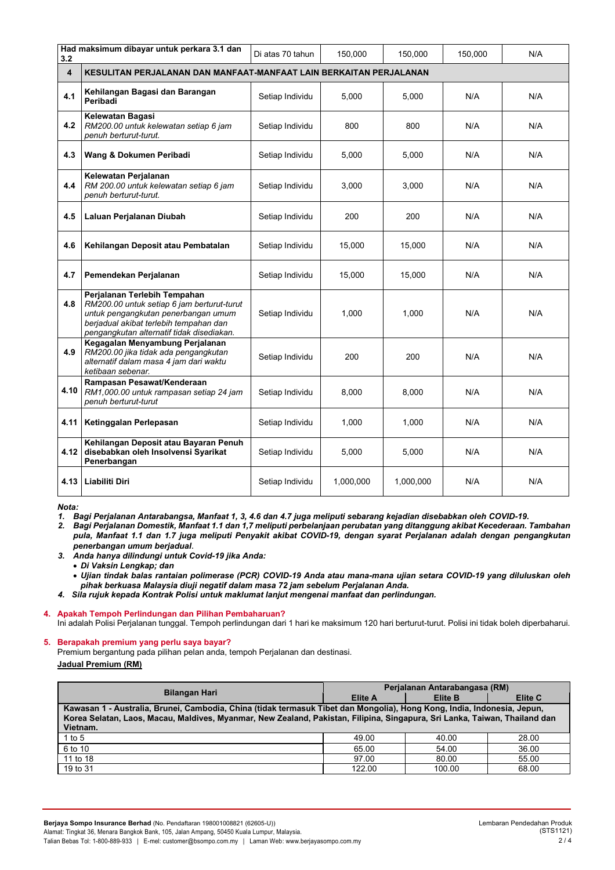| 3.2                     | Had maksimum dibayar untuk perkara 3.1 dan                                                                                                                                                               | Di atas 70 tahun | 150,000   | 150,000   | 150,000 | N/A |  |
|-------------------------|----------------------------------------------------------------------------------------------------------------------------------------------------------------------------------------------------------|------------------|-----------|-----------|---------|-----|--|
| $\overline{\mathbf{4}}$ | KESULITAN PERJALANAN DAN MANFAAT-MANFAAT LAIN BERKAITAN PERJALANAN                                                                                                                                       |                  |           |           |         |     |  |
| 4.1                     | Kehilangan Bagasi dan Barangan<br>Peribadi                                                                                                                                                               | Setiap Individu  | 5.000     | 5,000     | N/A     | N/A |  |
| 4.2                     | Kelewatan Bagasi<br>RM200.00 untuk kelewatan setiap 6 jam<br>penuh berturut-turut.                                                                                                                       | Setiap Individu  | 800       | 800       | N/A     | N/A |  |
| 4.3                     | Wang & Dokumen Peribadi                                                                                                                                                                                  | Setiap Individu  | 5,000     | 5,000     | N/A     | N/A |  |
| 4.4                     | Kelewatan Perjalanan<br>RM 200.00 untuk kelewatan setiap 6 jam<br>penuh berturut-turut.                                                                                                                  | Setiap Individu  | 3,000     | 3,000     | N/A     | N/A |  |
| 4.5                     | Laluan Perjalanan Diubah                                                                                                                                                                                 | Setiap Individu  | 200       | 200       | N/A     | N/A |  |
| 4.6                     | Kehilangan Deposit atau Pembatalan                                                                                                                                                                       | Setiap Individu  | 15,000    | 15,000    | N/A     | N/A |  |
| 4.7                     | Pemendekan Perjalanan                                                                                                                                                                                    | Setiap Individu  | 15.000    | 15.000    | N/A     | N/A |  |
| 4.8                     | Perjalanan Terlebih Tempahan<br>RM200.00 untuk setiap 6 jam berturut-turut<br>untuk pengangkutan penerbangan umum<br>berjadual akibat terlebih tempahan dan<br>pengangkutan alternatif tidak disediakan. | Setiap Individu  | 1,000     | 1,000     | N/A     | N/A |  |
| 4.9                     | Kegagalan Menyambung Perjalanan<br>RM200.00 jika tidak ada pengangkutan<br>alternatif dalam masa 4 jam dari waktu<br>ketibaan sebenar.                                                                   | Setiap Individu  | 200       | 200       | N/A     | N/A |  |
| 4.10                    | Rampasan Pesawat/Kenderaan<br>RM1,000.00 untuk rampasan setiap 24 jam<br>penuh berturut-turut                                                                                                            | Setiap Individu  | 8,000     | 8,000     | N/A     | N/A |  |
| 4.11                    | Ketinggalan Perlepasan                                                                                                                                                                                   | Setiap Individu  | 1,000     | 1.000     | N/A     | N/A |  |
| 4.12                    | Kehilangan Deposit atau Bayaran Penuh<br>disebabkan oleh Insolvensi Syarikat<br>Penerbangan                                                                                                              | Setiap Individu  | 5,000     | 5,000     | N/A     | N/A |  |
| 4.13                    | Liabiliti Diri                                                                                                                                                                                           | Setiap Individu  | 1,000,000 | 1,000,000 | N/A     | N/A |  |

### *Nota:*

*1. Bagi Perjalanan Antarabangsa, Manfaat 1, 3, 4.6 dan 4.7 juga meliputi sebarang kejadian disebabkan oleh COVID-19.*

*2. Bagi Perjalanan Domestik, Manfaat 1.1 dan 1,7 meliputi perbelanjaan perubatan yang ditanggung akibat Kecederaan. Tambahan pula, Manfaat 1.1 dan 1.7 juga meliputi Penyakit akibat COVID-19, dengan syarat Perjalanan adalah dengan pengangkutan penerbangan umum berjadual*.

- *3. Anda hanya dilindungi untuk Covid-19 jika Anda:*
	- *Di Vaksin Lengkap; dan*

• *Ujian tindak balas rantaian polimerase (PCR) COVID-19 Anda atau mana-mana ujian setara COVID-19 yang diluluskan oleh pihak berkuasa Malaysia diuji negatif dalam masa 72 jam sebelum Perjalanan Anda.*

*4. Sila rujuk kepada Kontrak Polisi untuk maklumat lanjut mengenai manfaat dan perlindungan.*

# **4. Apakah Tempoh Perlindungan dan Pilihan Pembaharuan?**

Ini adalah Polisi Perjalanan tunggal. Tempoh perlindungan dari 1 hari ke maksimum 120 hari berturut-turut. Polisi ini tidak boleh diperbaharui.

### **5. Berapakah premium yang perlu saya bayar?**

Premium bergantung pada pilihan pelan anda, tempoh Perjalanan dan destinasi. **Jadual Premium (RM)**

| <b>Bilangan Hari</b>                                                                                                                   | Perjalanan Antarabangasa (RM) |                |         |  |  |  |
|----------------------------------------------------------------------------------------------------------------------------------------|-------------------------------|----------------|---------|--|--|--|
|                                                                                                                                        | <b>Elite A</b>                | <b>Elite B</b> | Elite C |  |  |  |
| Kawasan 1 - Australia, Brunei, Cambodia, China (tidak termasuk Tibet dan Mongolia), Hong Kong, India, Indonesia, Jepun,                |                               |                |         |  |  |  |
| Korea Selatan, Laos, Macau, Maldives, Myanmar, New Zealand, Pakistan, Filipina, Singapura, Sri Lanka, Taiwan, Thailand dan<br>Vietnam. |                               |                |         |  |  |  |
| 1 to $5$                                                                                                                               | 49.00                         | 40.00          | 28.00   |  |  |  |
| 6 to 10                                                                                                                                | 65.00                         | 54.00          | 36.00   |  |  |  |
| 11 to 18                                                                                                                               | 97.00                         | 80.00          | 55.00   |  |  |  |
| 19 to 31                                                                                                                               | 122.00                        | 100.00         | 68.00   |  |  |  |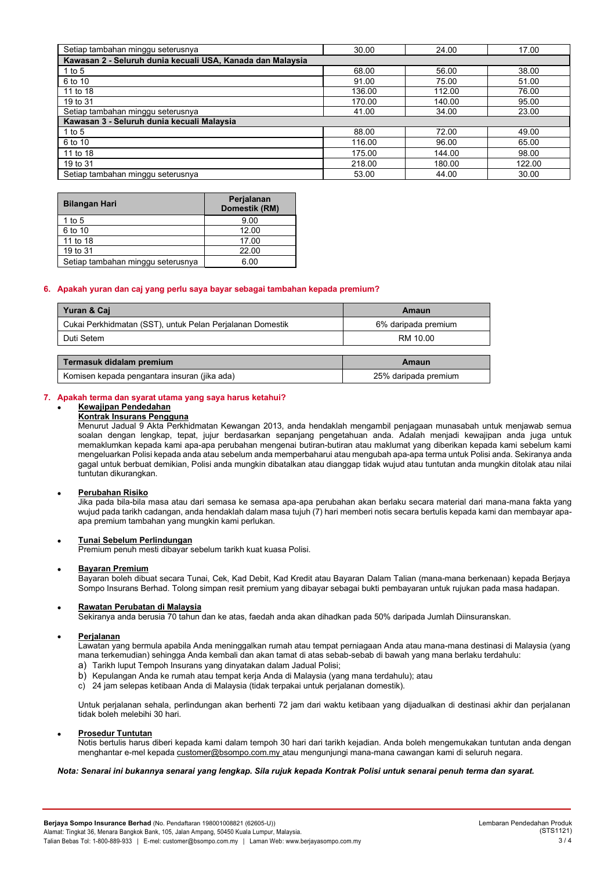| Setiap tambahan minggu seterusnya                          | 30.00  | 24.00  | 17.00  |  |  |  |  |
|------------------------------------------------------------|--------|--------|--------|--|--|--|--|
| Kawasan 2 - Seluruh dunia kecuali USA, Kanada dan Malaysia |        |        |        |  |  |  |  |
| 1 to $5$                                                   | 68.00  | 56.00  | 38.00  |  |  |  |  |
| 6 to 10                                                    | 91.00  | 75.00  | 51.00  |  |  |  |  |
| 11 to 18                                                   | 136.00 | 112.00 | 76.00  |  |  |  |  |
| 19 to 31                                                   | 170.00 | 140.00 | 95.00  |  |  |  |  |
| Setiap tambahan minggu seterusnya                          | 41.00  | 34.00  | 23.00  |  |  |  |  |
| Kawasan 3 - Seluruh dunia kecuali Malaysia                 |        |        |        |  |  |  |  |
| 1 to 5                                                     | 88.00  | 72.00  | 49.00  |  |  |  |  |
| 6 to 10                                                    | 116.00 | 96.00  | 65.00  |  |  |  |  |
| 11 to 18                                                   | 175.00 | 144.00 | 98.00  |  |  |  |  |
| 19 to 31                                                   | 218.00 | 180.00 | 122.00 |  |  |  |  |
| Setiap tambahan minggu seterusnya                          | 53.00  | 44.00  | 30.00  |  |  |  |  |

| <b>Bilangan Hari</b>              | Perjalanan<br>Domestik (RM) |
|-----------------------------------|-----------------------------|
| 1 to $5$                          | 9.00                        |
| 6 to 10                           | 12.00                       |
| 11 to 18                          | 17.00                       |
| 19 to 31                          | 22.00                       |
| Setiap tambahan minggu seterusnya | 6.00                        |

### **6. Apakah yuran dan caj yang perlu saya bayar sebagai tambahan kepada premium?**

| Yuran & Caj                                               | Amaun               |
|-----------------------------------------------------------|---------------------|
| Cukai Perkhidmatan (SST), untuk Pelan Perjalanan Domestik | 6% daripada premium |
| Duti Setem                                                | RM 10.00            |

| Termasuk didalam premium                     | Amaun                |
|----------------------------------------------|----------------------|
| Komisen kepada pengantara insuran (jika ada) | 25% daripada premium |

### **7. Apakah terma dan syarat utama yang saya harus ketahui?**

#### • **Kewajipan Pendedahan Kontrak Insurans Pengguna**

Menurut Jadual 9 Akta Perkhidmatan Kewangan 2013, anda hendaklah mengambil penjagaan munasabah untuk menjawab semua soalan dengan lengkap, tepat, jujur berdasarkan sepanjang pengetahuan anda. Adalah menjadi kewajipan anda juga untuk memaklumkan kepada kami apa-apa perubahan mengenai butiran-butiran atau maklumat yang diberikan kepada kami sebelum kami mengeluarkan Polisi kepada anda atau sebelum anda memperbaharui atau mengubah apa-apa terma untuk Polisi anda. Sekiranya anda gagal untuk berbuat demikian, Polisi anda mungkin dibatalkan atau dianggap tidak wujud atau tuntutan anda mungkin ditolak atau nilai tuntutan dikurangkan.

### • **Perubahan Risiko**

Jika pada bila-bila masa atau dari semasa ke semasa apa-apa perubahan akan berlaku secara material dari mana-mana fakta yang wujud pada tarikh cadangan, anda hendaklah dalam masa tujuh (7) hari memberi notis secara bertulis kepada kami dan membayar apaapa premium tambahan yang mungkin kami perlukan.

### • **Tunai Sebelum Perlindungan**

Premium penuh mesti dibayar sebelum tarikh kuat kuasa Polisi.

### • **Bayaran Premium**

Bayaran boleh dibuat secara Tunai, Cek, Kad Debit, Kad Kredit atau Bayaran Dalam Talian (mana-mana berkenaan) kepada Berjaya Sompo Insurans Berhad. Tolong simpan resit premium yang dibayar sebagai bukti pembayaran untuk rujukan pada masa hadapan.

### • **Rawatan Perubatan di Malaysia**

Sekiranya anda berusia 70 tahun dan ke atas, faedah anda akan dihadkan pada 50% daripada Jumlah Diinsuranskan.

### • • **Perjalanan**

Lawatan yang bermula apabila Anda meninggalkan rumah atau tempat perniagaan Anda atau mana-mana destinasi di Malaysia (yang mana terkemudian) sehingga Anda kembali dan akan tamat di atas sebab-sebab di bawah yang mana berlaku terdahulu:

- a) Tarikh luput Tempoh Insurans yang dinyatakan dalam Jadual Polisi;
- b) Kepulangan Anda ke rumah atau tempat kerja Anda di Malaysia (yang mana terdahulu); atau
- c) 24 jam selepas ketibaan Anda di Malaysia (tidak terpakai untuk perjalanan domestik).

Untuk perjalanan sehala, perlindungan akan berhenti 72 jam dari waktu ketibaan yang dijadualkan di destinasi akhir dan perjalanan tidak boleh melebihi 30 hari.

### • **Prosedur Tuntutan**

Notis bertulis harus diberi kepada kami dalam tempoh 30 hari dari tarikh kejadian. Anda boleh mengemukakan tuntutan anda dengan menghantar e-mel kepada [customer@bsompo.com.my](mailto:customer@bsompo.com.my) atau mengunjungi mana-mana cawangan kami di seluruh negara.

### *Nota: Senarai ini bukannya senarai yang lengkap. Sila rujuk kepada Kontrak Polisi untuk senarai penuh terma dan syarat.*